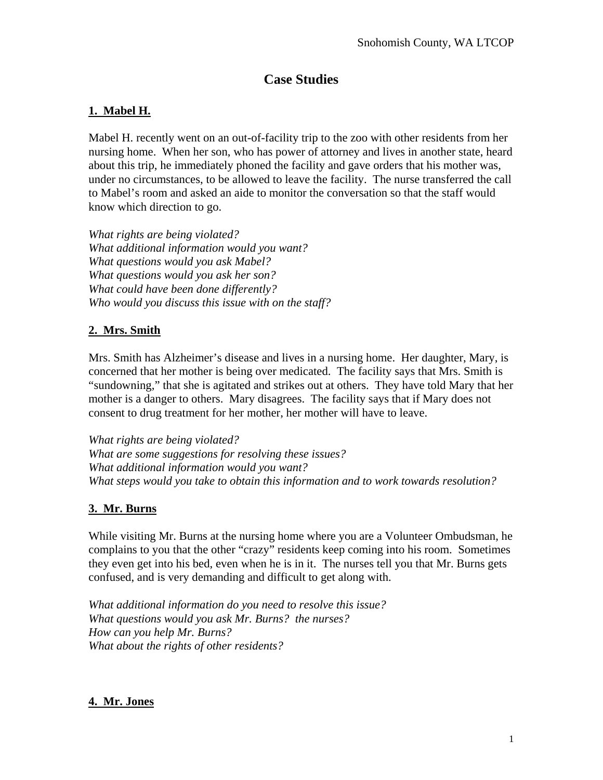# **Case Studies**

### **1. Mabel H.**

Mabel H. recently went on an out-of-facility trip to the zoo with other residents from her nursing home. When her son, who has power of attorney and lives in another state, heard about this trip, he immediately phoned the facility and gave orders that his mother was, under no circumstances, to be allowed to leave the facility. The nurse transferred the call to Mabel's room and asked an aide to monitor the conversation so that the staff would know which direction to go.

*What rights are being violated? What additional information would you want? What questions would you ask Mabel? What questions would you ask her son? What could have been done differently? Who would you discuss this issue with on the staff?* 

## **2. Mrs. Smith**

Mrs. Smith has Alzheimer's disease and lives in a nursing home. Her daughter, Mary, is concerned that her mother is being over medicated. The facility says that Mrs. Smith is "sundowning," that she is agitated and strikes out at others. They have told Mary that her mother is a danger to others. Mary disagrees. The facility says that if Mary does not consent to drug treatment for her mother, her mother will have to leave.

*What rights are being violated? What are some suggestions for resolving these issues? What additional information would you want? What steps would you take to obtain this information and to work towards resolution?* 

### **3. Mr. Burns**

While visiting Mr. Burns at the nursing home where you are a Volunteer Ombudsman, he complains to you that the other "crazy" residents keep coming into his room. Sometimes they even get into his bed, even when he is in it. The nurses tell you that Mr. Burns gets confused, and is very demanding and difficult to get along with.

*What additional information do you need to resolve this issue? What questions would you ask Mr. Burns? the nurses? How can you help Mr. Burns? What about the rights of other residents?*

## **4. Mr. Jones**